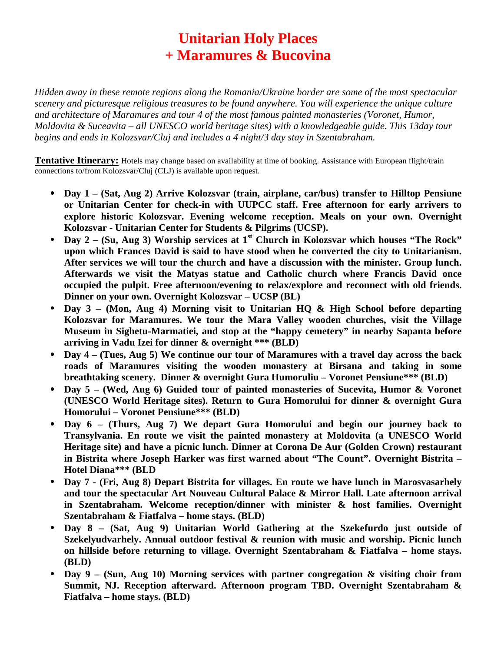## **Unitarian Holy Places + Maramures & Bucovina**

*Hidden away in these remote regions along the Romania/Ukraine border are some of the most spectacular scenery and picturesque religious treasures to be found anywhere. You will experience the unique culture and architecture of Maramures and tour 4 of the most famous painted monasteries (Voronet, Humor, Moldovita & Suceavita – all UNESCO world heritage sites) with a knowledgeable guide. This 13day tour begins and ends in Kolozsvar/Cluj and includes a 4 night/3 day stay in Szentabraham.*

**Tentative Itinerary:** Hotels may change based on availability at time of booking. Assistance with European flight/train connections to/from Kolozsvar/Cluj (CLJ) is available upon request.

- **Day 1 (Sat, Aug 2) Arrive Kolozsvar (train, airplane, car/bus) transfer to Hilltop Pensiune or Unitarian Center for check-in with UUPCC staff. Free afternoon for early arrivers to explore historic Kolozsvar. Evening welcome reception. Meals on your own. Overnight Kolozsvar - Unitarian Center for Students & Pilgrims (UCSP).**
- **Day 2 (Su, Aug 3) Worship services at 1st Church in Kolozsvar which houses "The Rock" upon which Frances David is said to have stood when he converted the city to Unitarianism. After services we will tour the church and have a discussion with the minister. Group lunch. Afterwards we visit the Matyas statue and Catholic church where Francis David once occupied the pulpit. Free afternoon/evening to relax/explore and reconnect with old friends. Dinner on your own. Overnight Kolozsvar – UCSP (BL)**
- **Day 3 (Mon, Aug 4) Morning visit to Unitarian HQ & High School before departing Kolozsvar for Maramures. We tour the Mara Valley wooden churches, visit the Village Museum in Sighetu-Marmatiei, and stop at the "happy cemetery" in nearby Sapanta before arriving in Vadu Izei for dinner & overnight \*\*\* (BLD)**
- **Day 4 (Tues, Aug 5) We continue our tour of Maramures with a travel day across the back roads of Maramures visiting the wooden monastery at Birsana and taking in some breathtaking scenery. Dinner & overnight Gura Humoruliu – Voronet Pensiune\*\*\* (BLD)**
- **Day 5 (Wed, Aug 6) Guided tour of painted monasteries of Sucevita, Humor & Voronet (UNESCO World Heritage sites). Return to Gura Homorului for dinner & overnight Gura Homorului – Voronet Pensiune\*\*\* (BLD)**
- **Day 6 (Thurs, Aug 7) We depart Gura Homorului and begin our journey back to Transylvania. En route we visit the painted monastery at Moldovita (a UNESCO World Heritage site) and have a picnic lunch. Dinner at Corona De Aur (Golden Crown) restaurant in Bistrita where Joseph Harker was first warned about "The Count". Overnight Bistrita – Hotel Diana\*\*\* (BLD**
- **Day 7 (Fri, Aug 8) Depart Bistrita for villages. En route we have lunch in Marosvasarhely and tour the spectacular Art Nouveau Cultural Palace & Mirror Hall. Late afternoon arrival in Szentabraham. Welcome reception/dinner with minister & host families. Overnight Szentabraham & Fiatfalva – home stays. (BLD)**
- **Day 8 (Sat, Aug 9) Unitarian World Gathering at the Szekefurdo just outside of Szekelyudvarhely. Annual outdoor festival & reunion with music and worship. Picnic lunch on hillside before returning to village. Overnight Szentabraham & Fiatfalva – home stays. (BLD)**
- **Day 9 (Sun, Aug 10) Morning services with partner congregation & visiting choir from Summit, NJ. Reception afterward. Afternoon program TBD. Overnight Szentabraham & Fiatfalva – home stays. (BLD)**